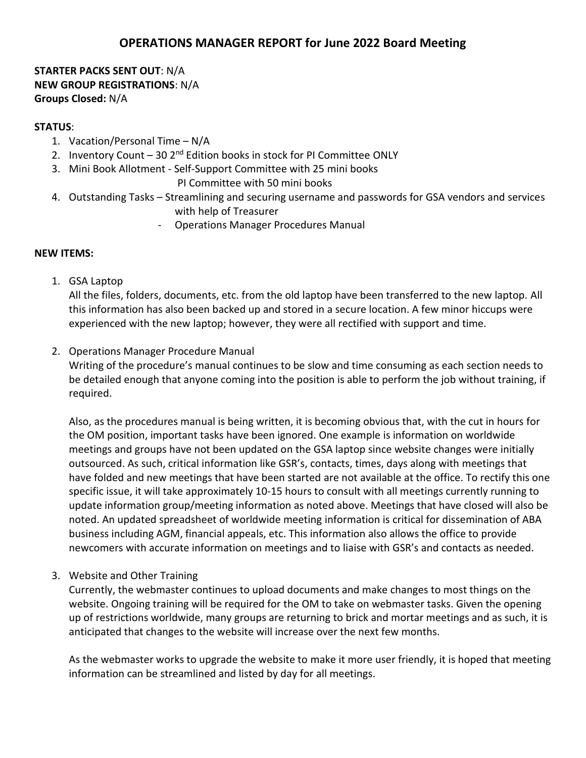# **OPERATIONS MANAGER REPORT for June 2022 Board Meeting**

## **STARTER PACKS SENT OUT**: N/A **NEW GROUP REGISTRATIONS**: N/A **Groups Closed:** N/A

#### **STATUS**:

- 1. Vacation/Personal Time N/A
- 2. Inventory Count 30 2<sup>nd</sup> Edition books in stock for PI Committee ONLY
- 3. Mini Book Allotment Self-Support Committee with 25 mini books

PI Committee with 50 mini books

- 4. Outstanding Tasks Streamlining and securing username and passwords for GSA vendors and services with help of Treasurer
	- Operations Manager Procedures Manual

## **NEW ITEMS:**

1. GSA Laptop

All the files, folders, documents, etc. from the old laptop have been transferred to the new laptop. All this information has also been backed up and stored in a secure location. A few minor hiccups were experienced with the new laptop; however, they were all rectified with support and time.

2. Operations Manager Procedure Manual

Writing of the procedure's manual continues to be slow and time consuming as each section needs to be detailed enough that anyone coming into the position is able to perform the job without training, if required.

Also, as the procedures manual is being written, it is becoming obvious that, with the cut in hours for the OM position, important tasks have been ignored. One example is information on worldwide meetings and groups have not been updated on the GSA laptop since website changes were initially outsourced. As such, critical information like GSR's, contacts, times, days along with meetings that have folded and new meetings that have been started are not available at the office. To rectify this one specific issue, it will take approximately 10-15 hours to consult with all meetings currently running to update information group/meeting information as noted above. Meetings that have closed will also be noted. An updated spreadsheet of worldwide meeting information is critical for dissemination of ABA business including AGM, financial appeals, etc. This information also allows the office to provide newcomers with accurate information on meetings and to liaise with GSR's and contacts as needed.

# 3. Website and Other Training

Currently, the webmaster continues to upload documents and make changes to most things on the website. Ongoing training will be required for the OM to take on webmaster tasks. Given the opening up of restrictions worldwide, many groups are returning to brick and mortar meetings and as such, it is anticipated that changes to the website will increase over the next few months.

As the webmaster works to upgrade the website to make it more user friendly, it is hoped that meeting information can be streamlined and listed by day for all meetings.